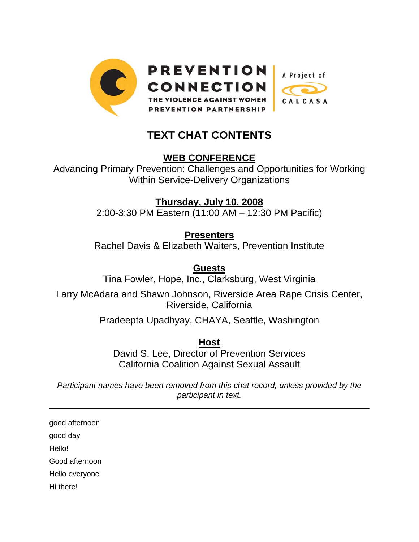

## **TEXT CHAT CONTENTS**

## **WEB CONFERENCE**

Advancing Primary Prevention: Challenges and Opportunities for Working Within Service-Delivery Organizations

**Thursday, July 10, 2008**

2:00-3:30 PM Eastern (11:00 AM – 12:30 PM Pacific)

**Presenters**

Rachel Davis & Elizabeth Waiters, Prevention Institute

**Guests**

Tina Fowler, Hope, Inc., Clarksburg, West Virginia

Larry McAdara and Shawn Johnson, Riverside Area Rape Crisis Center, Riverside, California

Pradeepta Upadhyay, CHAYA, Seattle, Washington

**Host**

David S. Lee, Director of Prevention Services California Coalition Against Sexual Assault

*Participant names have been removed from this chat record, unless provided by the participant in text.* 

good afternoon

good day

Hello!

 $\overline{a}$ 

Good afternoon

Hello everyone

Hi there!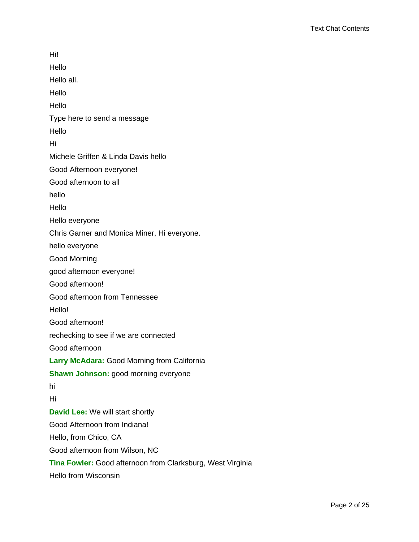Hi! Hello Hello all. Hello Hello Type here to send a message Hello Hi Michele Griffen & Linda Davis hello Good Afternoon everyone! Good afternoon to all hello Hello Hello everyone Chris Garner and Monica Miner, Hi everyone. hello everyone Good Morning good afternoon everyone! Good afternoon! Good afternoon from Tennessee Hello! Good afternoon! rechecking to see if we are connected Good afternoon **Larry McAdara:** Good Morning from California **Shawn Johnson:** good morning everyone hi Hi **David Lee:** We will start shortly Good Afternoon from Indiana! Hello, from Chico, CA Good afternoon from Wilson, NC **Tina Fowler:** Good afternoon from Clarksburg, West Virginia Hello from Wisconsin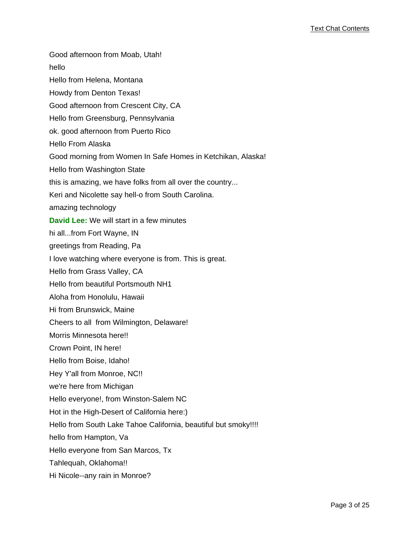Good afternoon from Moab, Utah! hello Hello from Helena, Montana Howdy from Denton Texas! Good afternoon from Crescent City, CA Hello from Greensburg, Pennsylvania ok. good afternoon from Puerto Rico Hello From Alaska Good morning from Women In Safe Homes in Ketchikan, Alaska! Hello from Washington State this is amazing, we have folks from all over the country... Keri and Nicolette say hell-o from South Carolina. amazing technology **David Lee:** We will start in a few minutes hi all...from Fort Wayne, IN greetings from Reading, Pa I love watching where everyone is from. This is great. Hello from Grass Valley, CA Hello from beautiful Portsmouth NH1 Aloha from Honolulu, Hawaii Hi from Brunswick, Maine Cheers to all from Wilmington, Delaware! Morris Minnesota here!! Crown Point, IN here! Hello from Boise, Idaho! Hey Y'all from Monroe, NC!! we're here from Michigan Hello everyone!, from Winston-Salem NC Hot in the High-Desert of California here:) Hello from South Lake Tahoe California, beautiful but smoky!!!! hello from Hampton, Va Hello everyone from San Marcos, Tx Tahlequah, Oklahoma!! Hi Nicole--any rain in Monroe?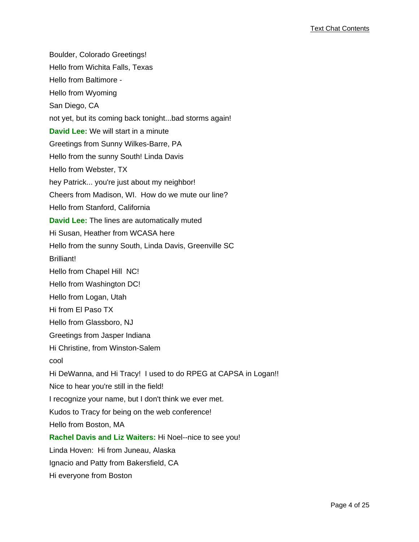Boulder, Colorado Greetings! Hello from Wichita Falls, Texas Hello from Baltimore - Hello from Wyoming San Diego, CA not yet, but its coming back tonight...bad storms again! **David Lee:** We will start in a minute Greetings from Sunny Wilkes-Barre, PA Hello from the sunny South! Linda Davis Hello from Webster, TX hey Patrick... you're just about my neighbor! Cheers from Madison, WI. How do we mute our line? Hello from Stanford, California **David Lee:** The lines are automatically muted Hi Susan, Heather from WCASA here Hello from the sunny South, Linda Davis, Greenville SC Brilliant! Hello from Chapel Hill NC! Hello from Washington DC! Hello from Logan, Utah Hi from El Paso TX Hello from Glassboro, NJ Greetings from Jasper Indiana Hi Christine, from Winston-Salem cool Hi DeWanna, and Hi Tracy! I used to do RPEG at CAPSA in Logan!! Nice to hear you're still in the field! I recognize your name, but I don't think we ever met. Kudos to Tracy for being on the web conference! Hello from Boston, MA **Rachel Davis and Liz Waiters:** Hi Noel--nice to see you! Linda Hoven: Hi from Juneau, Alaska Ignacio and Patty from Bakersfield, CA Hi everyone from Boston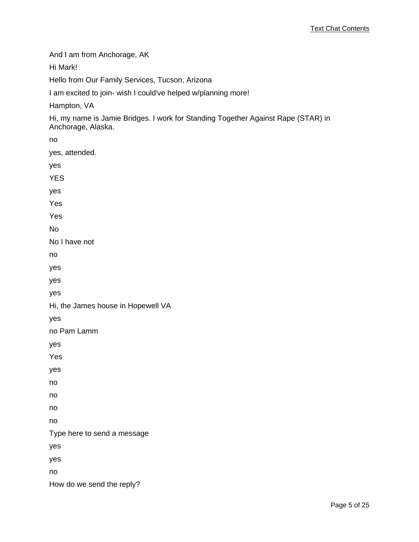And I am from Anchorage, AK

Hi Mark!

Hello from Our Family Services, Tucson, Arizona

I am excited to join- wish I could've helped w/planning more!

Hampton, VA

Hi, my name is Jamie Bridges. I work for Standing Together Against Rape (STAR) in Anchorage, Alaska.

no yes, attended. yes YES yes Yes Yes No No I have not no yes yes yes Hi, the James house in Hopewell VA yes no Pam Lamm yes Yes yes no no no no Type here to send a message yes yes no How do we send the reply?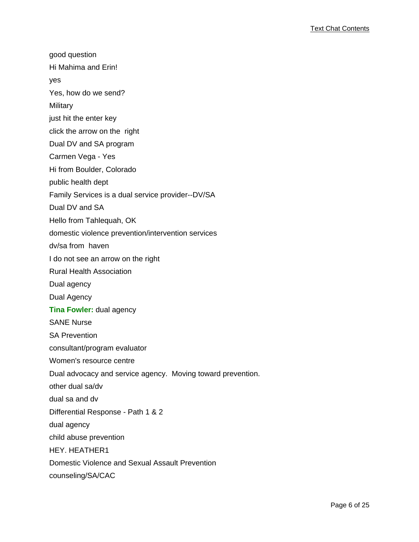good question Hi Mahima and Erin! yes Yes, how do we send? **Military** just hit the enter key click the arrow on the right Dual DV and SA program Carmen Vega - Yes Hi from Boulder, Colorado public health dept Family Services is a dual service provider--DV/SA Dual DV and SA Hello from Tahlequah, OK domestic violence prevention/intervention services dv/sa from haven I do not see an arrow on the right Rural Health Association Dual agency Dual Agency **Tina Fowler:** dual agency SANE Nurse SA Prevention consultant/program evaluator Women's resource centre Dual advocacy and service agency. Moving toward prevention. other dual sa/dv dual sa and dv Differential Response - Path 1 & 2 dual agency child abuse prevention HEY. HEATHER1 Domestic Violence and Sexual Assault Prevention counseling/SA/CAC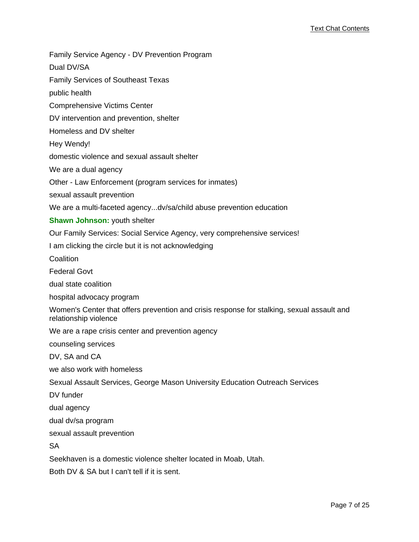Family Service Agency - DV Prevention Program

Dual DV/SA

Family Services of Southeast Texas

public health

Comprehensive Victims Center

DV intervention and prevention, shelter

Homeless and DV shelter

Hey Wendy!

domestic violence and sexual assault shelter

We are a dual agency

Other - Law Enforcement (program services for inmates)

sexual assault prevention

We are a multi-faceted agency...dv/sa/child abuse prevention education

**Shawn Johnson:** youth shelter

Our Family Services: Social Service Agency, very comprehensive services!

I am clicking the circle but it is not acknowledging

Coalition

Federal Govt

dual state coalition

hospital advocacy program

Women's Center that offers prevention and crisis response for stalking, sexual assault and relationship violence

We are a rape crisis center and prevention agency

counseling services

DV, SA and CA

we also work with homeless

Sexual Assault Services, George Mason University Education Outreach Services

DV funder

dual agency

dual dv/sa program

sexual assault prevention

SA

Seekhaven is a domestic violence shelter located in Moab, Utah.

Both DV & SA but I can't tell if it is sent.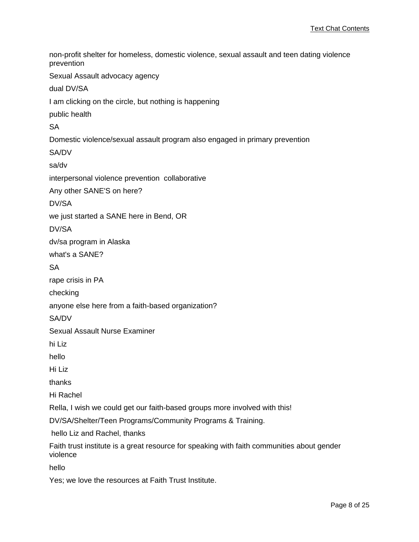non-profit shelter for homeless, domestic violence, sexual assault and teen dating violence prevention Sexual Assault advocacy agency dual DV/SA I am clicking on the circle, but nothing is happening public health SA Domestic violence/sexual assault program also engaged in primary prevention SA/DV sa/dv interpersonal violence prevention collaborative Any other SANE'S on here? DV/SA we just started a SANE here in Bend, OR DV/SA dv/sa program in Alaska what's a SANE? **SA** rape crisis in PA checking anyone else here from a faith-based organization? SA/DV Sexual Assault Nurse Examiner hi Liz hello Hi Liz thanks Hi Rachel Rella, I wish we could get our faith-based groups more involved with this! DV/SA/Shelter/Teen Programs/Community Programs & Training. hello Liz and Rachel, thanks Faith trust institute is a great resource for speaking with faith communities about gender violence hello

Yes; we love the resources at Faith Trust Institute.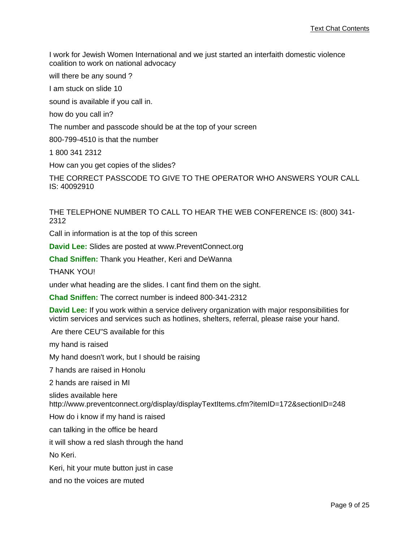I work for Jewish Women International and we just started an interfaith domestic violence coalition to work on national advocacy

will there be any sound?

I am stuck on slide 10

sound is available if you call in.

how do you call in?

The number and passcode should be at the top of your screen

800-799-4510 is that the number

1 800 341 2312

How can you get copies of the slides?

THE CORRECT PASSCODE TO GIVE TO THE OPERATOR WHO ANSWERS YOUR CALL IS: 40092910

THE TELEPHONE NUMBER TO CALL TO HEAR THE WEB CONFERENCE IS: (800) 341- 2312

Call in information is at the top of this screen

**David Lee:** Slides are posted at www.PreventConnect.org

**Chad Sniffen:** Thank you Heather, Keri and DeWanna

THANK YOU!

under what heading are the slides. I cant find them on the sight.

**Chad Sniffen:** The correct number is indeed 800-341-2312

**David Lee:** If you work within a service delivery organization with major responsibilities for victim services and services such as hotlines, shelters, referral, please raise your hand.

Are there CEU"S available for this

my hand is raised

My hand doesn't work, but I should be raising

7 hands are raised in Honolu

2 hands are raised in MI

slides available here

http://www.preventconnect.org/display/displayTextItems.cfm?itemID=172&sectionID=248

How do i know if my hand is raised

can talking in the office be heard

it will show a red slash through the hand

No Keri.

Keri, hit your mute button just in case

and no the voices are muted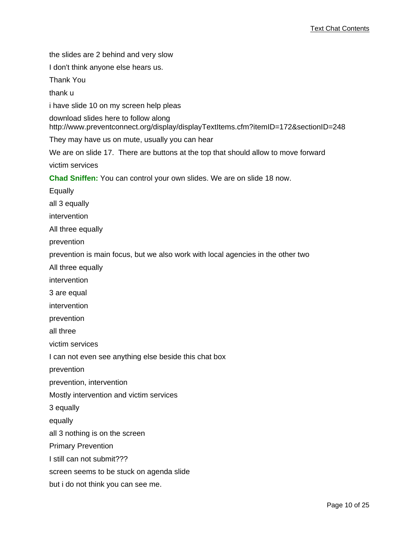the slides are 2 behind and very slow

I don't think anyone else hears us.

Thank You

thank u

i have slide 10 on my screen help pleas

download slides here to follow along

http://www.preventconnect.org/display/displayTextItems.cfm?itemID=172&sectionID=248

They may have us on mute, usually you can hear

We are on slide 17. There are buttons at the top that should allow to move forward victim services

**Chad Sniffen:** You can control your own slides. We are on slide 18 now.

Equally

all 3 equally

intervention

All three equally

prevention

prevention is main focus, but we also work with local agencies in the other two

All three equally

intervention

3 are equal

intervention

prevention

all three

victim services

I can not even see anything else beside this chat box

prevention

prevention, intervention

Mostly intervention and victim services

3 equally

equally

all 3 nothing is on the screen

Primary Prevention

I still can not submit???

screen seems to be stuck on agenda slide

but i do not think you can see me.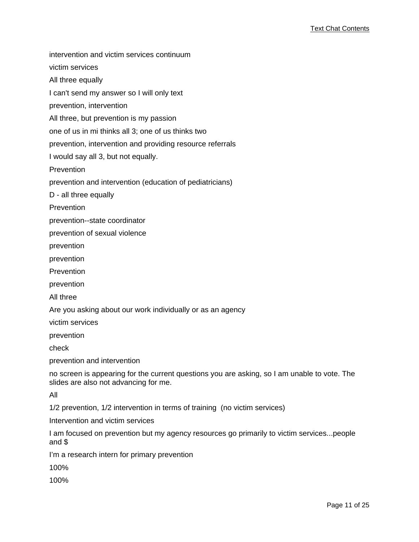intervention and victim services continuum

victim services

All three equally

I can't send my answer so I will only text

prevention, intervention

All three, but prevention is my passion

one of us in mi thinks all 3; one of us thinks two

prevention, intervention and providing resource referrals

I would say all 3, but not equally.

**Prevention** 

prevention and intervention (education of pediatricians)

D - all three equally

Prevention

prevention--state coordinator

prevention of sexual violence

prevention

prevention

Prevention

prevention

All three

Are you asking about our work individually or as an agency

victim services

prevention

check

prevention and intervention

no screen is appearing for the current questions you are asking, so I am unable to vote. The slides are also not advancing for me.

All

1/2 prevention, 1/2 intervention in terms of training (no victim services)

Intervention and victim services

I am focused on prevention but my agency resources go primarily to victim services...people and \$

I'm a research intern for primary prevention

100%

100%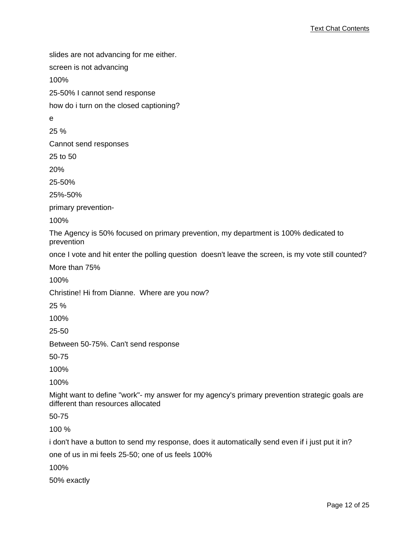slides are not advancing for me either. screen is not advancing 100% 25-50% I cannot send response how do i turn on the closed captioning? e 25 % Cannot send responses 25 to 50 20% 25-50% 25%-50% primary prevention-100% The Agency is 50% focused on primary prevention, my department is 100% dedicated to prevention once I vote and hit enter the polling question doesn't leave the screen, is my vote still counted? More than 75% 100% Christine! Hi from Dianne. Where are you now? 25 % 100% 25-50 Between 50-75%. Can't send response 50-75 100% 100% Might want to define "work"- my answer for my agency's primary prevention strategic goals are different than resources allocated 50-75 100 % i don't have a button to send my response, does it automatically send even if i just put it in?

one of us in mi feels 25-50; one of us feels 100%

100%

50% exactly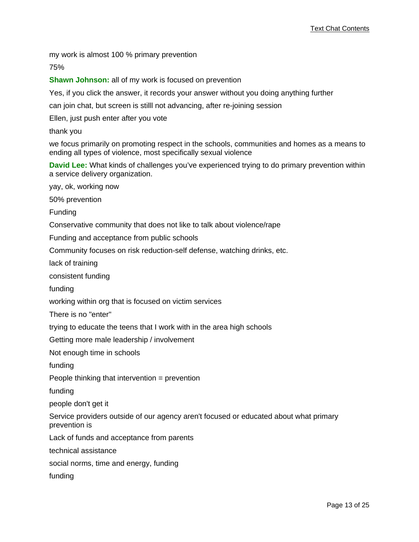my work is almost 100 % primary prevention

75%

**Shawn Johnson:** all of my work is focused on prevention

Yes, if you click the answer, it records your answer without you doing anything further

can join chat, but screen is stilll not advancing, after re-joining session

Ellen, just push enter after you vote

thank you

we focus primarily on promoting respect in the schools, communities and homes as a means to ending all types of violence, most specifically sexual violence

**David Lee:** What kinds of challenges you've experienced trying to do primary prevention within a service delivery organization.

yay, ok, working now

50% prevention

Funding

Conservative community that does not like to talk about violence/rape

Funding and acceptance from public schools

Community focuses on risk reduction-self defense, watching drinks, etc.

lack of training

consistent funding

funding

working within org that is focused on victim services

There is no "enter"

trying to educate the teens that I work with in the area high schools

Getting more male leadership / involvement

Not enough time in schools

funding

People thinking that intervention = prevention

funding

people don't get it

Service providers outside of our agency aren't focused or educated about what primary prevention is

Lack of funds and acceptance from parents

technical assistance

social norms, time and energy, funding

funding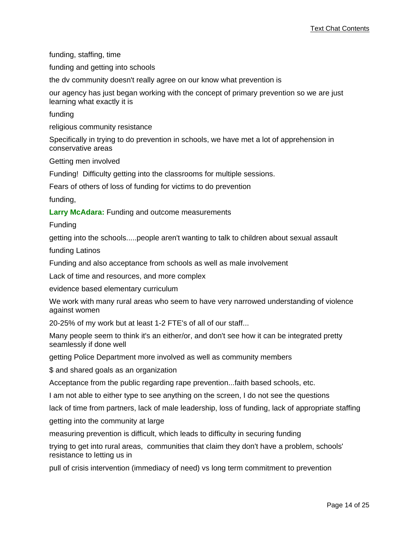funding, staffing, time

funding and getting into schools

the dv community doesn't really agree on our know what prevention is

our agency has just began working with the concept of primary prevention so we are just learning what exactly it is

funding

religious community resistance

Specifically in trying to do prevention in schools, we have met a lot of apprehension in conservative areas

Getting men involved

Funding! Difficulty getting into the classrooms for multiple sessions.

Fears of others of loss of funding for victims to do prevention

funding,

**Larry McAdara:** Funding and outcome measurements

Funding

getting into the schools.....people aren't wanting to talk to children about sexual assault

funding Latinos

Funding and also acceptance from schools as well as male involvement

Lack of time and resources, and more complex

evidence based elementary curriculum

We work with many rural areas who seem to have very narrowed understanding of violence against women

20-25% of my work but at least 1-2 FTE's of all of our staff...

Many people seem to think it's an either/or, and don't see how it can be integrated pretty seamlessly if done well

getting Police Department more involved as well as community members

\$ and shared goals as an organization

Acceptance from the public regarding rape prevention...faith based schools, etc.

I am not able to either type to see anything on the screen, I do not see the questions

lack of time from partners, lack of male leadership, loss of funding, lack of appropriate staffing

getting into the community at large

measuring prevention is difficult, which leads to difficulty in securing funding

trying to get into rural areas, communities that claim they don't have a problem, schools' resistance to letting us in

pull of crisis intervention (immediacy of need) vs long term commitment to prevention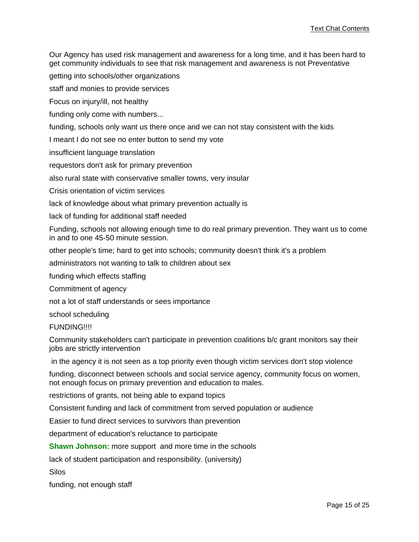Our Agency has used risk management and awareness for a long time, and it has been hard to get community individuals to see that risk management and awareness is not Preventative

getting into schools/other organizations

staff and monies to provide services

Focus on injury/ill, not healthy

funding only come with numbers...

funding, schools only want us there once and we can not stay consistent with the kids

I meant I do not see no enter button to send my vote

insufficient language translation

requestors don't ask for primary prevention

also rural state with conservative smaller towns, very insular

Crisis orientation of victim services

lack of knowledge about what primary prevention actually is

lack of funding for additional staff needed

Funding, schools not allowing enough time to do real primary prevention. They want us to come in and to one 45-50 minute session.

other people's time; hard to get into schools; community doesn't think it's a problem

administrators not wanting to talk to children about sex

funding which effects staffing

Commitment of agency

not a lot of staff understands or sees importance

school scheduling

FUNDING!!!!

Community stakeholders can't participate in prevention coalitions b/c grant monitors say their jobs are strictly intervention

in the agency it is not seen as a top priority even though victim services don't stop violence

funding, disconnect between schools and social service agency, community focus on women, not enough focus on primary prevention and education to males.

restrictions of grants, not being able to expand topics

Consistent funding and lack of commitment from served population or audience

Easier to fund direct services to survivors than prevention

department of education's reluctance to participate

**Shawn Johnson:** more support and more time in the schools

lack of student participation and responsibility. (university)

Silos

funding, not enough staff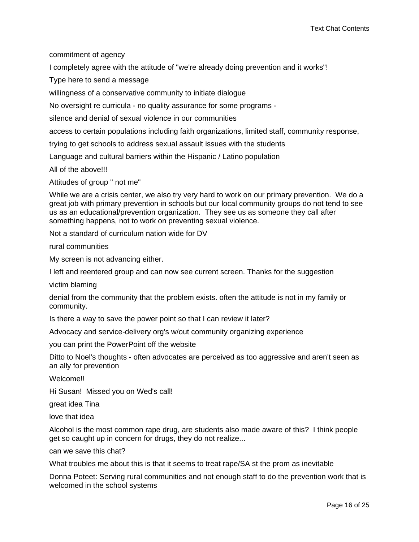commitment of agency

I completely agree with the attitude of "we're already doing prevention and it works"!

Type here to send a message

willingness of a conservative community to initiate dialogue

No oversight re curricula - no quality assurance for some programs -

silence and denial of sexual violence in our communities

access to certain populations including faith organizations, limited staff, community response,

trying to get schools to address sexual assault issues with the students

Language and cultural barriers within the Hispanic / Latino population

All of the above!!!

Attitudes of group " not me"

While we are a crisis center, we also try very hard to work on our primary prevention. We do a great job with primary prevention in schools but our local community groups do not tend to see us as an educational/prevention organization. They see us as someone they call after something happens, not to work on preventing sexual violence.

Not a standard of curriculum nation wide for DV

rural communities

My screen is not advancing either.

I left and reentered group and can now see current screen. Thanks for the suggestion

victim blaming

denial from the community that the problem exists. often the attitude is not in my family or community.

Is there a way to save the power point so that I can review it later?

Advocacy and service-delivery org's w/out community organizing experience

you can print the PowerPoint off the website

Ditto to Noel's thoughts - often advocates are perceived as too aggressive and aren't seen as an ally for prevention

Welcome!!

Hi Susan! Missed you on Wed's call!

great idea Tina

love that idea

Alcohol is the most common rape drug, are students also made aware of this? I think people get so caught up in concern for drugs, they do not realize...

can we save this chat?

What troubles me about this is that it seems to treat rape/SA st the prom as inevitable

Donna Poteet: Serving rural communities and not enough staff to do the prevention work that is welcomed in the school systems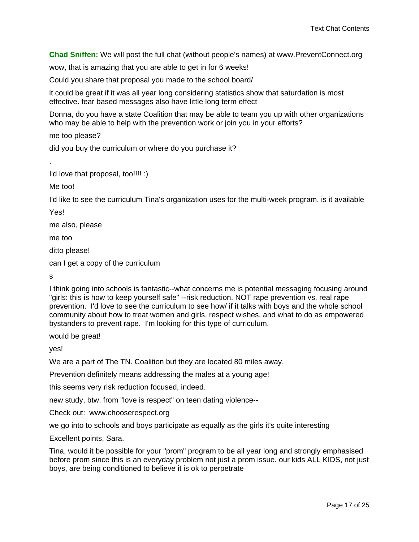**Chad Sniffen:** We will post the full chat (without people's names) at www.PreventConnect.org

wow, that is amazing that you are able to get in for 6 weeks!

Could you share that proposal you made to the school board/

it could be great if it was all year long considering statistics show that saturdation is most effective. fear based messages also have little long term effect

Donna, do you have a state Coalition that may be able to team you up with other organizations who may be able to help with the prevention work or join you in your efforts?

me too please?

did you buy the curriculum or where do you purchase it?

I'd love that proposal, too!!!! :)

Me too!

I'd like to see the curriculum Tina's organization uses for the multi-week program. is it available

Yes!

.

me also, please

me too

ditto please!

can I get a copy of the curriculum

s

I think going into schools is fantastic--what concerns me is potential messaging focusing around "girls: this is how to keep yourself safe" --risk reduction, NOT rape prevention vs. real rape prevention. I'd love to see the curriculum to see how/ if it talks with boys and the whole school community about how to treat women and girls, respect wishes, and what to do as empowered bystanders to prevent rape. I'm looking for this type of curriculum.

would be great!

yes!

We are a part of The TN. Coalition but they are located 80 miles away.

Prevention definitely means addressing the males at a young age!

this seems very risk reduction focused, indeed.

new study, btw, from "love is respect" on teen dating violence--

Check out: www.chooserespect.org

we go into to schools and boys participate as equally as the girls it's quite interesting

Excellent points, Sara.

Tina, would it be possible for your "prom" program to be all year long and strongly emphasised before prom since this is an everyday problem not just a prom issue. our kids ALL KIDS, not just boys, are being conditioned to believe it is ok to perpetrate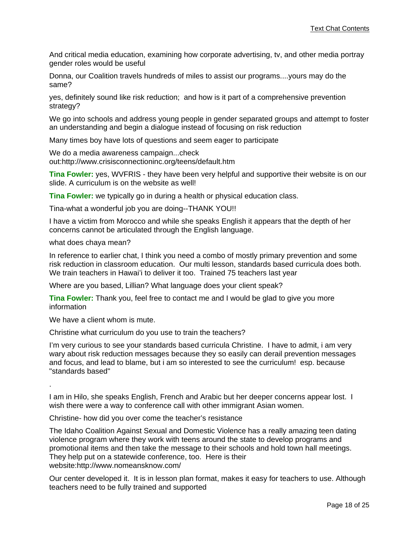And critical media education, examining how corporate advertising, tv, and other media portray gender roles would be useful

Donna, our Coalition travels hundreds of miles to assist our programs....yours may do the same?

yes, definitely sound like risk reduction; and how is it part of a comprehensive prevention strategy?

We go into schools and address young people in gender separated groups and attempt to foster an understanding and begin a dialogue instead of focusing on risk reduction

Many times boy have lots of questions and seem eager to participate

We do a media awareness campaign...check out:http://www.crisisconnectioninc.org/teens/default.htm

**Tina Fowler:** yes, WVFRIS - they have been very helpful and supportive their website is on our slide. A curriculum is on the website as well!

**Tina Fowler:** we typically go in during a health or physical education class.

Tina-what a wonderful job you are doing--THANK YOU!!

I have a victim from Morocco and while she speaks English it appears that the depth of her concerns cannot be articulated through the English language.

what does chaya mean?

In reference to earlier chat, I think you need a combo of mostly primary prevention and some risk reduction in classroom education. Our multi lesson, standards based curricula does both. We train teachers in Hawai'i to deliver it too. Trained 75 teachers last year

Where are you based, Lillian? What language does your client speak?

**Tina Fowler:** Thank you, feel free to contact me and I would be glad to give you more information

We have a client whom is mute.

Christine what curriculum do you use to train the teachers?

I'm very curious to see your standards based curricula Christine. I have to admit, i am very wary about risk reduction messages because they so easily can derail prevention messages and focus, and lead to blame, but i am so interested to see the curriculum! esp. because "standards based"

.

I am in Hilo, she speaks English, French and Arabic but her deeper concerns appear lost. I wish there were a way to conference call with other immigrant Asian women.

Christine- how did you over come the teacher's resistance

The Idaho Coalition Against Sexual and Domestic Violence has a really amazing teen dating violence program where they work with teens around the state to develop programs and promotional items and then take the message to their schools and hold town hall meetings. They help put on a statewide conference, too. Here is their website:http://www.nomeansknow.com/

Our center developed it. It is in lesson plan format, makes it easy for teachers to use. Although teachers need to be fully trained and supported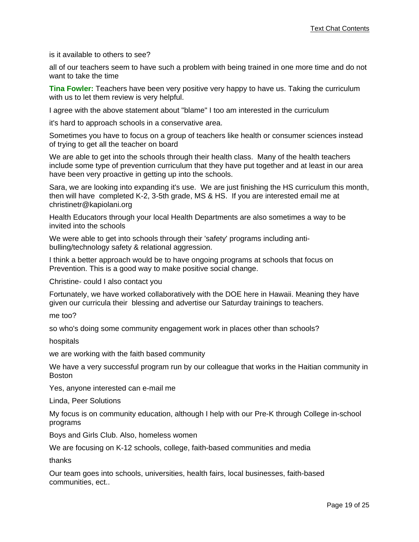is it available to others to see?

all of our teachers seem to have such a problem with being trained in one more time and do not want to take the time

**Tina Fowler:** Teachers have been very positive very happy to have us. Taking the curriculum with us to let them review is very helpful.

I agree with the above statement about "blame" I too am interested in the curriculum

it's hard to approach schools in a conservative area.

Sometimes you have to focus on a group of teachers like health or consumer sciences instead of trying to get all the teacher on board

We are able to get into the schools through their health class. Many of the health teachers include some type of prevention curriculum that they have put together and at least in our area have been very proactive in getting up into the schools.

Sara, we are looking into expanding it's use. We are just finishing the HS curriculum this month, then will have completed K-2, 3-5th grade, MS & HS. If you are interested email me at christinetr@kapiolani.org

Health Educators through your local Health Departments are also sometimes a way to be invited into the schools

We were able to get into schools through their 'safety' programs including antibulling/technology safety & relational aggression.

I think a better approach would be to have ongoing programs at schools that focus on Prevention. This is a good way to make positive social change.

Christine- could I also contact you

Fortunately, we have worked collaboratively with the DOE here in Hawaii. Meaning they have given our curricula their blessing and advertise our Saturday trainings to teachers.

me too?

so who's doing some community engagement work in places other than schools?

hospitals

we are working with the faith based community

We have a very successful program run by our colleague that works in the Haitian community in Boston

Yes, anyone interested can e-mail me

Linda, Peer Solutions

My focus is on community education, although I help with our Pre-K through College in-school programs

Boys and Girls Club. Also, homeless women

We are focusing on K-12 schools, college, faith-based communities and media

thanks

Our team goes into schools, universities, health fairs, local businesses, faith-based communities, ect..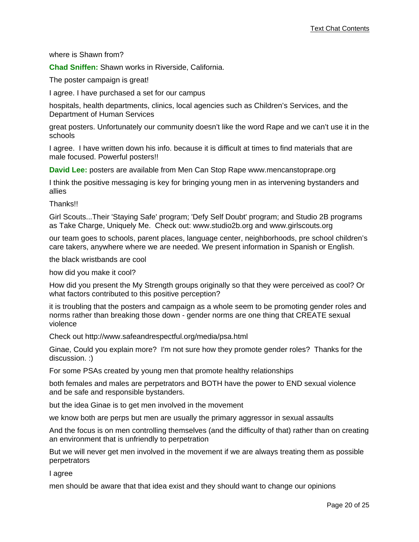where is Shawn from?

**Chad Sniffen:** Shawn works in Riverside, California.

The poster campaign is great!

I agree. I have purchased a set for our campus

hospitals, health departments, clinics, local agencies such as Children's Services, and the Department of Human Services

great posters. Unfortunately our community doesn't like the word Rape and we can't use it in the schools

I agree. I have written down his info. because it is difficult at times to find materials that are male focused. Powerful posters!!

**David Lee:** posters are available from Men Can Stop Rape www.mencanstoprape.org

I think the positive messaging is key for bringing young men in as intervening bystanders and allies

Thanks!!

Girl Scouts...Their 'Staying Safe' program; 'Defy Self Doubt' program; and Studio 2B programs as Take Charge, Uniquely Me. Check out: www.studio2b.org and www.girlscouts.org

our team goes to schools, parent places, language center, neighborhoods, pre school children's care takers, anywhere where we are needed. We present information in Spanish or English.

the black wristbands are cool

how did you make it cool?

How did you present the My Strength groups originally so that they were perceived as cool? Or what factors contributed to this positive perception?

it is troubling that the posters and campaign as a whole seem to be promoting gender roles and norms rather than breaking those down - gender norms are one thing that CREATE sexual violence

Check out http://www.safeandrespectful.org/media/psa.html

Ginae, Could you explain more? I'm not sure how they promote gender roles? Thanks for the discussion. :)

For some PSAs created by young men that promote healthy relationships

both females and males are perpetrators and BOTH have the power to END sexual violence and be safe and responsible bystanders.

but the idea Ginae is to get men involved in the movement

we know both are perps but men are usually the primary aggressor in sexual assaults

And the focus is on men controlling themselves (and the difficulty of that) rather than on creating an environment that is unfriendly to perpetration

But we will never get men involved in the movement if we are always treating them as possible perpetrators

I agree

men should be aware that that idea exist and they should want to change our opinions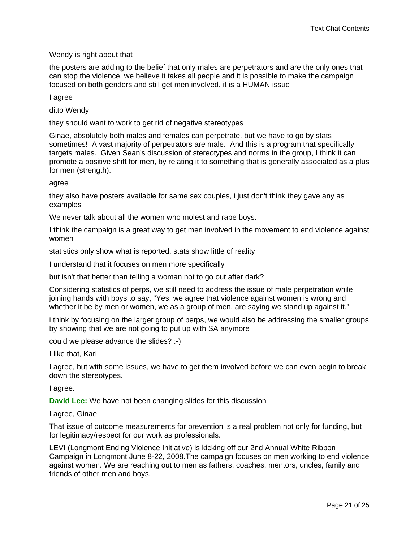## Wendy is right about that

the posters are adding to the belief that only males are perpetrators and are the only ones that can stop the violence. we believe it takes all people and it is possible to make the campaign focused on both genders and still get men involved. it is a HUMAN issue

I agree

ditto Wendy

they should want to work to get rid of negative stereotypes

Ginae, absolutely both males and females can perpetrate, but we have to go by stats sometimes! A vast majority of perpetrators are male. And this is a program that specifically targets males. Given Sean's discussion of stereotypes and norms in the group, I think it can promote a positive shift for men, by relating it to something that is generally associated as a plus for men (strength).

agree

they also have posters available for same sex couples, i just don't think they gave any as examples

We never talk about all the women who molest and rape boys.

I think the campaign is a great way to get men involved in the movement to end violence against women

statistics only show what is reported. stats show little of reality

I understand that it focuses on men more specifically

but isn't that better than telling a woman not to go out after dark?

Considering statistics of perps, we still need to address the issue of male perpetration while joining hands with boys to say, "Yes, we agree that violence against women is wrong and whether it be by men or women, we as a group of men, are saying we stand up against it."

i think by focusing on the larger group of perps, we would also be addressing the smaller groups by showing that we are not going to put up with SA anymore

could we please advance the slides? :-)

I like that, Kari

I agree, but with some issues, we have to get them involved before we can even begin to break down the stereotypes.

I agree.

**David Lee:** We have not been changing slides for this discussion

I agree, Ginae

That issue of outcome measurements for prevention is a real problem not only for funding, but for legitimacy/respect for our work as professionals.

LEVI (Longmont Ending Violence Initiative) is kicking off our 2nd Annual White Ribbon Campaign in Longmont June 8-22, 2008.The campaign focuses on men working to end violence against women. We are reaching out to men as fathers, coaches, mentors, uncles, family and friends of other men and boys.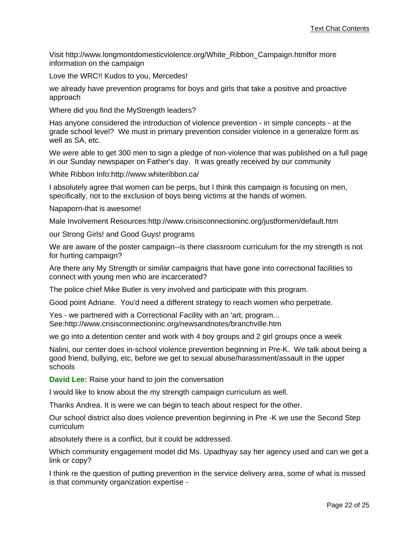Visit http://www.longmontdomesticviolence.org/White\_Ribbon\_Campaign.htmlfor more information on the campaign

Love the WRC!! Kudos to you, Mercedes!

we already have prevention programs for boys and girls that take a positive and proactive approach

Where did you find the MyStrength leaders?

Has anyone considered the introduction of violence prevention - in simple concepts - at the grade school level? We must in primary prevention consider violence in a generalize form as well as SA, etc.

We were able to get 300 men to sign a pledge of non-violence that was published on a full page in our Sunday newspaper on Father's day. It was greatly received by our community

White Ribbon Info:http://www.whiteribbon.ca/

I absolutely agree that women can be perps, but I think this campaign is focusing on men, specifically, not to the exclusion of boys being victims at the hands of women.

Napaporn-that is awesome!

Male Involvement Resources:http://www.crisisconnectioninc.org/justformen/default.htm

our Strong Girls! and Good Guys! programs

We are aware of the poster campaign--is there classroom curriculum for the my strength is not for hurting campaign?

Are there any My Strength or similar campaigns that have gone into correctional facilities to connect with young men who are incarcerated?

The police chief Mike Butler is very involved and participate with this program.

Good point Adriane. You'd need a different strategy to reach women who perpetrate.

Yes - we partnered with a Correctional Facility with an 'art; program... See:http://www.crisisconnectioninc.org/newsandnotes/branchville.htm

we go into a detention center and work with 4 boy groups and 2 girl groups once a week

Nalini, our center does in-school violence prevention beginning in Pre-K. We talk about being a good friend, bullying, etc, before we get to sexual abuse/harassment/assault in the upper schools

**David Lee:** Raise your hand to join the conversation

I would like to know about the my strength campaign curriculum as well.

Thanks Andrea. It is were we can begin to teach about respect for the other.

Our school district also does violence prevention beginning in Pre -K we use the Second Step curriculum

absolutely there is a conflict, but it could be addressed.

Which community engagement model did Ms. Upadhyay say her agency used and can we get a link or copy?

I think re the question of putting prevention in the service delivery area, some of what is missed is that community organization expertise -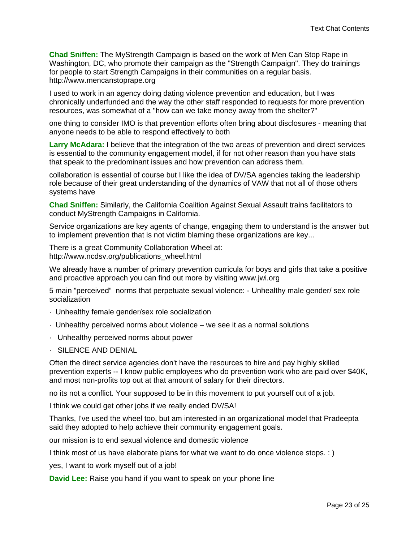**Chad Sniffen:** The MyStrength Campaign is based on the work of Men Can Stop Rape in Washington, DC, who promote their campaign as the "Strength Campaign". They do trainings for people to start Strength Campaigns in their communities on a regular basis. http://www.mencanstoprape.org

I used to work in an agency doing dating violence prevention and education, but I was chronically underfunded and the way the other staff responded to requests for more prevention resources, was somewhat of a "how can we take money away from the shelter?"

one thing to consider IMO is that prevention efforts often bring about disclosures - meaning that anyone needs to be able to respond effectively to both

**Larry McAdara:** I believe that the integration of the two areas of prevention and direct services is essential to the community engagement model, if for not other reason than you have stats that speak to the predominant issues and how prevention can address them.

collaboration is essential of course but I like the idea of DV/SA agencies taking the leadership role because of their great understanding of the dynamics of VAW that not all of those others systems have

**Chad Sniffen:** Similarly, the California Coalition Against Sexual Assault trains facilitators to conduct MyStrength Campaigns in California.

Service organizations are key agents of change, engaging them to understand is the answer but to implement prevention that is not victim blaming these organizations are key...

There is a great Community Collaboration Wheel at: http://www.ncdsv.org/publications\_wheel.html

We already have a number of primary prevention curricula for boys and girls that take a positive and proactive approach you can find out more by visiting www.jwi.org

5 main "perceived" norms that perpetuate sexual violence: - Unhealthy male gender/ sex role socialization

- · Unhealthy female gender/sex role socialization
- · Unhealthy perceived norms about violence we see it as a normal solutions
- · Unhealthy perceived norms about power
- · SILENCE AND DENIAL

Often the direct service agencies don't have the resources to hire and pay highly skilled prevention experts -- I know public employees who do prevention work who are paid over \$40K, and most non-profits top out at that amount of salary for their directors.

no its not a conflict. Your supposed to be in this movement to put yourself out of a job.

I think we could get other jobs if we really ended DV/SA!

Thanks, I've used the wheel too, but am interested in an organizational model that Pradeepta said they adopted to help achieve their community engagement goals.

our mission is to end sexual violence and domestic violence

I think most of us have elaborate plans for what we want to do once violence stops. : )

yes, I want to work myself out of a job!

**David Lee:** Raise you hand if you want to speak on your phone line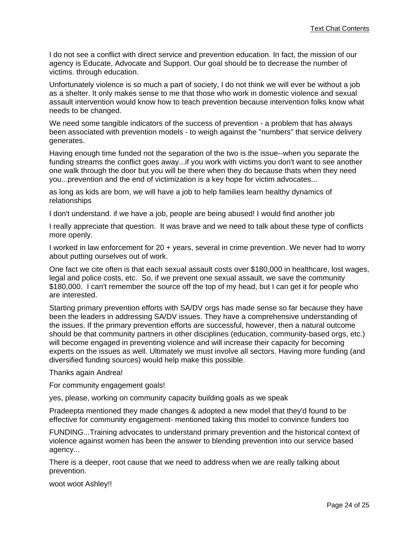I do not see a conflict with direct service and prevention education. In fact, the mission of our agency is Educate, Advocate and Support. Our goal should be to decrease the number of victims. through education.

Unfortunately violence is so much a part of society, I do not think we will ever be without a job as a shelter. It only makes sense to me that those who work in domestic violence and sexual assault intervention would know how to teach prevention because intervention folks know what needs to be changed.

We need some tangible indicators of the success of prevention - a problem that has always been associated with prevention models - to weigh against the "numbers" that service delivery generates.

Having enough time funded not the separation of the two is the issue--when you separate the funding streams the conflict goes away...if you work with victims you don't want to see another one walk through the door but you will be there when they do because thats when they need you...prevention and the end of victimization is a key hope for victim advocates...

as long as kids are born, we will have a job to help families learn healthy dynamics of relationships

I don't understand. if we have a job, people are being abused! I would find another job

I really appreciate that question. It was brave and we need to talk about these type of conflicts more openly.

I worked in law enforcement for 20 + years, several in crime prevention. We never had to worry about putting ourselves out of work.

One fact we cite often is that each sexual assault costs over \$180,000 in healthcare, lost wages, legal and police costs, etc. So, if we prevent one sexual assault, we save the community \$180,000. I can't remember the source off the top of my head, but I can get it for people who are interested.

Starting primary prevention efforts with SA/DV orgs has made sense so far because they have been the leaders in addressing SA/DV issues. They have a comprehensive understanding of the issues. If the primary prevention efforts are successful, however, then a natural outcome should be that community partners in other disciplines (education, community-based orgs, etc.) will become engaged in preventing violence and will increase their capacity for becoming experts on the issues as well. Ultimately we must involve all sectors. Having more funding (and diversified funding sources) would help make this possible.

Thanks again Andrea!

For community engagement goals!

yes, please, working on community capacity building goals as we speak

Pradeepta mentioned they made changes & adopted a new model that they'd found to be effective for community engagement- mentioned taking this model to convince funders too

FUNDING...Training advocates to understand primary prevention and the historical context of violence against women has been the answer to blending prevention into our service based agency...

There is a deeper, root cause that we need to address when we are really talking about prevention.

woot woot Ashley!!